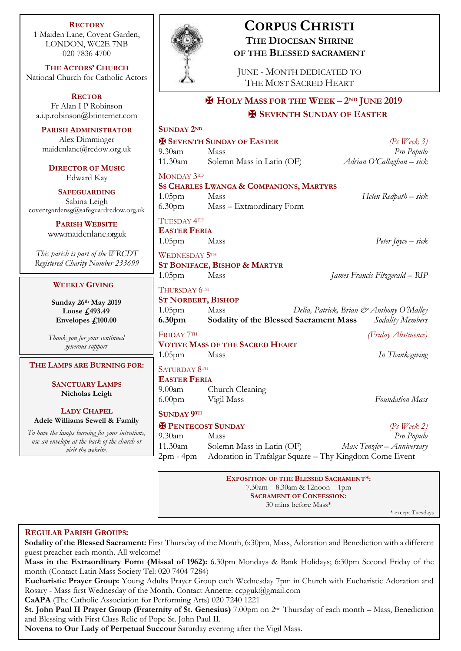**RECTORY** 1 Maiden Lane, Covent Garden, LONDON, WC2E 7NB 020 7836 4700

**THE ACTORS' CHURCH** National Church for Catholic Actors

**RECTOR** Fr Alan I P Robinson [a.i.p.robinson@btinternet.com](mailto:a.i.p.robinson@btinternet.com)

**PARISH ADMINISTRATOR** Alex Dimminger maidenlane@rcdow.org.uk

**DIRECTOR OF MUSIC** Edward Kay

**SAFEGUARDING** Sabina Leigh [coventgardensg@safeguardrcdow.org.uk](mailto:coventgardensg@safeguardrcdow.org.uk)

> **PARISH WEBSITE** [www.maidenlane.org.uk](http://www.maidenlane.org.uk/)

*This parish is part of the WRCDT Registered Charity Number 233699*

### **WEEKLY GIVING**

**Sunday 26th May 2019 Loose £493.49 Envelopes £100.00**

*Thank you for your continued generous support*

**THE LAMPS ARE BURNING FOR:**

**SANCTUARY LAMPS Nicholas Leigh**

**LADY CHAPEL Adele Williams Sewell & Family**

*To have the lamps burning for your intentions, use an envelope at the back of the church or visit the website.*



## **CORPUS CHRISTI THE DIOCESAN SHRINE OF THE BLESSED SACRAMENT**

JUNE - MONTH DEDICATED TO THE MOST SACRED HEART

# ✠ **HOLY MASS FOR THE WEEK – 2ND JUNE 2019** ✠ **SEVENTH SUNDAY OF EASTER**

| <b>SUNDAY 2ND</b>                                                            |                                                                                                       |                                                              |
|------------------------------------------------------------------------------|-------------------------------------------------------------------------------------------------------|--------------------------------------------------------------|
|                                                                              | <b>EX SEVENTH SUNDAY OF EASTER</b>                                                                    | $(Ps$ Week 3)                                                |
| $9.30$ am                                                                    | Mass                                                                                                  | Pro Populo                                                   |
| 11.30am                                                                      | Solemn Mass in Latin (OF)                                                                             | Adrian O'Callaghan - sick                                    |
| MONDAY 3RD<br>1.05 <sub>pm</sub><br>6.30 <sub>pm</sub>                       | SS CHARLES LWANGA & COMPANIONS, MARTYRS<br>Mass<br>Mass - Extraordinary Form                          | Helen Redpath - sick                                         |
| TUESDAY 4TH<br><b>EASTER FERIA</b><br>$1.05$ pm                              | Mass                                                                                                  | Peter Joyce $-$ sick                                         |
| <b>WEDNESDAY 5TH</b><br>$1.05$ pm                                            | <b>ST BONIFACE, BISHOP &amp; MARTYR</b><br>Mass                                                       | James Francis Fitzgerald – RIP                               |
| THURSDAY 6TH<br><b>ST NORBERT, BISHOP</b><br>$1.05$ pm<br>6.30 <sub>pm</sub> | Mass<br>Sodality of the Blessed Sacrament Mass                                                        | Delia, Patrick, Brian & Anthony O'Malley<br>Sodality Members |
| FRIDAY 7TH                                                                   |                                                                                                       | (Friday Abstinence)                                          |
|                                                                              | <b>VOTIVE MASS OF THE SACRED HEART</b>                                                                |                                                              |
| $1.05$ pm                                                                    | Mass                                                                                                  | In Thanksgiving                                              |
| <b>SATURDAY 8TH</b><br><b>EASTER FERIA</b><br>$9.00$ am<br>6.00pm Vigil Mass | Church Cleaning                                                                                       | <b>Foundation Mass</b>                                       |
| <b>SUNDAY 9TH</b>                                                            |                                                                                                       |                                                              |
| <b>X PENTECOST SUNDAY</b>                                                    |                                                                                                       | $(Ps$ Week 2)                                                |
| $9.30$ am                                                                    | Mass                                                                                                  | Pro Populo                                                   |
|                                                                              | 11.30am Solemn Mass in Latin (OF)<br>2pm - 4pm Adoration in Trafalgar Square - Thy Kingdom Come Event | Max Tenzler - Anniversary                                    |
|                                                                              | <b>EXPOSITION OF THE BLESSED SACRAMENT*:</b>                                                          |                                                              |

7.30am – 8.30am & 12noon – 1pm **SACRAMENT OF CONFESSION:**  30 mins before Mass\*

\* except Tuesdays

## **REGULAR PARISH GROUPS:**

**Sodality of the Blessed Sacrament:** First Thursday of the Month, 6:30pm, Mass, Adoration and Benediction with a different guest preacher each month. All welcome!

**Mass in the Extraordinary Form (Missal of 1962):** 6.30pm Mondays & Bank Holidays; 6:30pm Second Friday of the month (Contact Latin Mass Society Tel: 020 7404 7284)

**Eucharistic Prayer Group:** Young Adults Prayer Group each Wednesday 7pm in Church with Eucharistic Adoration and Rosary - Mass first Wednesday of the Month. Contact Annette: ccpguk@gmail.com

**CaAPA** (The Catholic Association for Performing Arts) 020 7240 1221

**St. John Paul II Prayer Group (Fraternity of St. Genesius)** 7.00pm on 2nd Thursday of each month – Mass, Benediction and Blessing with First Class Relic of Pope St. John Paul II.

**Novena to Our Lady of Perpetual Succour** Saturday evening after the Vigil Mass.